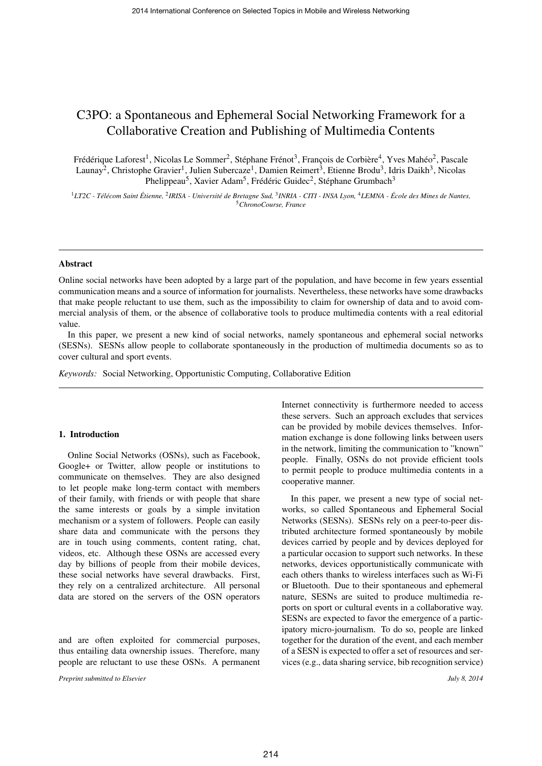# C3PO: a Spontaneous and Ephemeral Social Networking Framework for a Collaborative Creation and Publishing of Multimedia Contents

Frédérique Laforest<sup>1</sup>, Nicolas Le Sommer<sup>2</sup>, Stéphane Frénot<sup>3</sup>, François de Corbière<sup>4</sup>, Yves Mahéo<sup>2</sup>, Pascale Launay<sup>2</sup>, Christophe Gravier<sup>1</sup>, Julien Subercaze<sup>1</sup>, Damien Reimert<sup>3</sup>, Etienne Brodu<sup>3</sup>, Idris Daikh<sup>3</sup>, Nicolas Phelippeau<sup>5</sup>, Xavier Adam<sup>5</sup>, Frédéric Guidec<sup>2</sup>, Stéphane Grumbach<sup>3</sup>

<sup>1</sup>*LT2C - Télécom Saint Étienne,* <sup>2</sup> *IRISA - Université de Bretagne Sud,* <sup>3</sup> *INRIA - CITI - INSA Lyon,* <sup>4</sup>*LEMNA - École des Mines de Nantes,* <sup>5</sup>*ChronoCourse, France*

#### Abstract

Online social networks have been adopted by a large part of the population, and have become in few years essential communication means and a source of information for journalists. Nevertheless, these networks have some drawbacks that make people reluctant to use them, such as the impossibility to claim for ownership of data and to avoid commercial analysis of them, or the absence of collaborative tools to produce multimedia contents with a real editorial value.

In this paper, we present a new kind of social networks, namely spontaneous and ephemeral social networks (SESNs). SESNs allow people to collaborate spontaneously in the production of multimedia documents so as to cover cultural and sport events.

*Keywords:* Social Networking, Opportunistic Computing, Collaborative Edition

# 1. Introduction

Online Social Networks (OSNs), such as Facebook, Google+ or Twitter, allow people or institutions to communicate on themselves. They are also designed to let people make long-term contact with members of their family, with friends or with people that share the same interests or goals by a simple invitation mechanism or a system of followers. People can easily share data and communicate with the persons they are in touch using comments, content rating, chat, videos, etc. Although these OSNs are accessed every day by billions of people from their mobile devices, these social networks have several drawbacks. First, they rely on a centralized architecture. All personal data are stored on the servers of the OSN operators

and are often exploited for commercial purposes, thus entailing data ownership issues. Therefore, many people are reluctant to use these OSNs. A permanent

*Preprint submitted to Elsevier July 8, 2014*

Internet connectivity is furthermore needed to access these servers. Such an approach excludes that services can be provided by mobile devices themselves. Information exchange is done following links between users in the network, limiting the communication to "known" people. Finally, OSNs do not provide efficient tools to permit people to produce multimedia contents in a cooperative manner.

In this paper, we present a new type of social networks, so called Spontaneous and Ephemeral Social Networks (SESNs). SESNs rely on a peer-to-peer distributed architecture formed spontaneously by mobile devices carried by people and by devices deployed for a particular occasion to support such networks. In these networks, devices opportunistically communicate with each others thanks to wireless interfaces such as Wi-Fi or Bluetooth. Due to their spontaneous and ephemeral nature, SESNs are suited to produce multimedia reports on sport or cultural events in a collaborative way. SESNs are expected to favor the emergence of a participatory micro-journalism. To do so, people are linked together for the duration of the event, and each member of a SESN is expected to offer a set of resources and services (e.g., data sharing service, bib recognition service)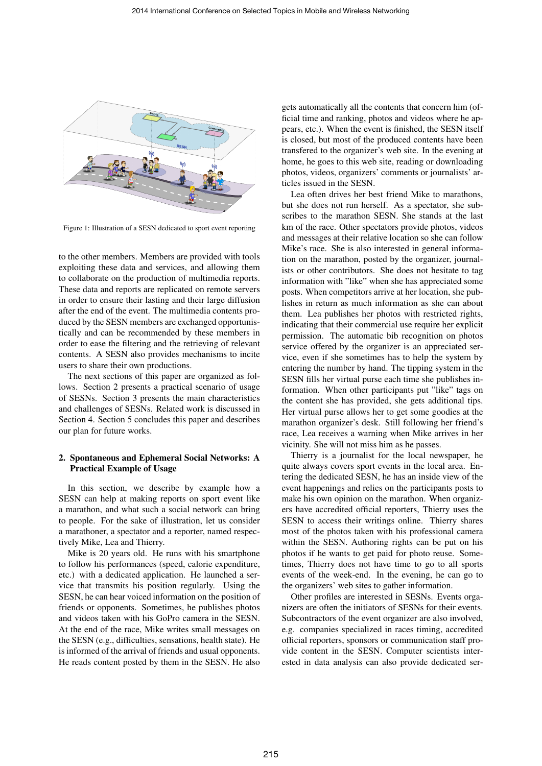

Figure 1: Illustration of a SESN dedicated to sport event reporting

to the other members. Members are provided with tools exploiting these data and services, and allowing them to collaborate on the production of multimedia reports. These data and reports are replicated on remote servers in order to ensure their lasting and their large diffusion after the end of the event. The multimedia contents produced by the SESN members are exchanged opportunistically and can be recommended by these members in order to ease the filtering and the retrieving of relevant contents. A SESN also provides mechanisms to incite users to share their own productions.

The next sections of this paper are organized as follows. Section 2 presents a practical scenario of usage of SESNs. Section 3 presents the main characteristics and challenges of SESNs. Related work is discussed in Section 4. Section 5 concludes this paper and describes our plan for future works.

# 2. Spontaneous and Ephemeral Social Networks: A Practical Example of Usage

In this section, we describe by example how a SESN can help at making reports on sport event like a marathon, and what such a social network can bring to people. For the sake of illustration, let us consider a marathoner, a spectator and a reporter, named respectively Mike, Lea and Thierry.

Mike is 20 years old. He runs with his smartphone to follow his performances (speed, calorie expenditure, etc.) with a dedicated application. He launched a service that transmits his position regularly. Using the SESN, he can hear voiced information on the position of friends or opponents. Sometimes, he publishes photos and videos taken with his GoPro camera in the SESN. At the end of the race, Mike writes small messages on the SESN (e.g., difficulties, sensations, health state). He is informed of the arrival of friends and usual opponents. He reads content posted by them in the SESN. He also

gets automatically all the contents that concern him (official time and ranking, photos and videos where he appears, etc.). When the event is finished, the SESN itself is closed, but most of the produced contents have been transfered to the organizer's web site. In the evening at home, he goes to this web site, reading or downloading photos, videos, organizers' comments or journalists' articles issued in the SESN.

Lea often drives her best friend Mike to marathons, but she does not run herself. As a spectator, she subscribes to the marathon SESN. She stands at the last km of the race. Other spectators provide photos, videos and messages at their relative location so she can follow Mike's race. She is also interested in general information on the marathon, posted by the organizer, journalists or other contributors. She does not hesitate to tag information with "like" when she has appreciated some posts. When competitors arrive at her location, she publishes in return as much information as she can about them. Lea publishes her photos with restricted rights, indicating that their commercial use require her explicit permission. The automatic bib recognition on photos service offered by the organizer is an appreciated service, even if she sometimes has to help the system by entering the number by hand. The tipping system in the SESN fills her virtual purse each time she publishes information. When other participants put "like" tags on the content she has provided, she gets additional tips. Her virtual purse allows her to get some goodies at the marathon organizer's desk. Still following her friend's race, Lea receives a warning when Mike arrives in her vicinity. She will not miss him as he passes.

Thierry is a journalist for the local newspaper, he quite always covers sport events in the local area. Entering the dedicated SESN, he has an inside view of the event happenings and relies on the participants posts to make his own opinion on the marathon. When organizers have accredited official reporters, Thierry uses the SESN to access their writings online. Thierry shares most of the photos taken with his professional camera within the SESN. Authoring rights can be put on his photos if he wants to get paid for photo reuse. Sometimes, Thierry does not have time to go to all sports events of the week-end. In the evening, he can go to the organizers' web sites to gather information.

Other profiles are interested in SESNs. Events organizers are often the initiators of SESNs for their events. Subcontractors of the event organizer are also involved, e.g. companies specialized in races timing, accredited official reporters, sponsors or communication staff provide content in the SESN. Computer scientists interested in data analysis can also provide dedicated ser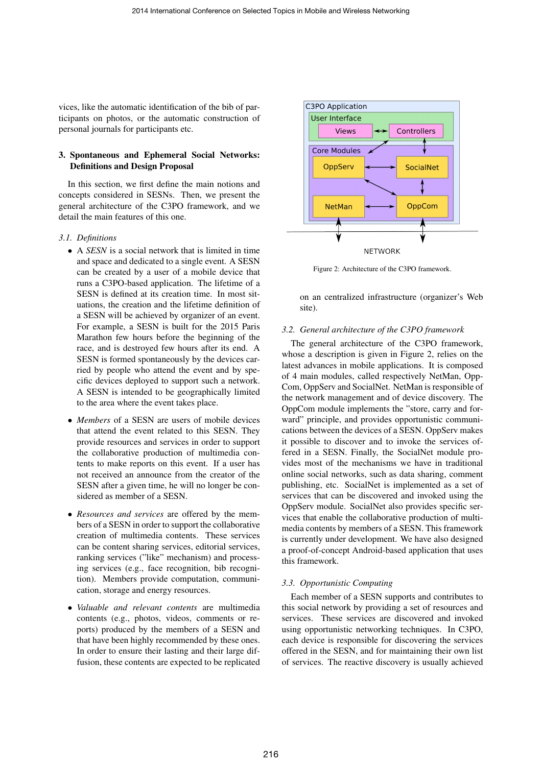vices, like the automatic identification of the bib of participants on photos, or the automatic construction of personal journals for participants etc.

# 3. Spontaneous and Ephemeral Social Networks: Definitions and Design Proposal

In this section, we first define the main notions and concepts considered in SESNs. Then, we present the general architecture of the C3PO framework, and we detail the main features of this one.

# *3.1. Definitions*

- A *SESN* is a social network that is limited in time and space and dedicated to a single event. A SESN can be created by a user of a mobile device that runs a C3PO-based application. The lifetime of a SESN is defined at its creation time. In most situations, the creation and the lifetime definition of a SESN will be achieved by organizer of an event. For example, a SESN is built for the 2015 Paris Marathon few hours before the beginning of the race, and is destroyed few hours after its end. A SESN is formed spontaneously by the devices carried by people who attend the event and by specific devices deployed to support such a network. A SESN is intended to be geographically limited to the area where the event takes place.
- *Members* of a SESN are users of mobile devices that attend the event related to this SESN. They provide resources and services in order to support the collaborative production of multimedia contents to make reports on this event. If a user has not received an announce from the creator of the SESN after a given time, he will no longer be considered as member of a SESN.
- *Resources and services* are offered by the members of a SESN in order to support the collaborative creation of multimedia contents. These services can be content sharing services, editorial services, ranking services ("like" mechanism) and processing services (e.g., face recognition, bib recognition). Members provide computation, communication, storage and energy resources.
- *Valuable and relevant contents* are multimedia contents (e.g., photos, videos, comments or reports) produced by the members of a SESN and that have been highly recommended by these ones. In order to ensure their lasting and their large diffusion, these contents are expected to be replicated



Figure 2: Architecture of the C3PO framework.

on an centralized infrastructure (organizer's Web site).

#### *3.2. General architecture of the C3PO framework*

The general architecture of the C3PO framework, whose a description is given in Figure 2, relies on the latest advances in mobile applications. It is composed of 4 main modules, called respectively NetMan, Opp-Com, OppServ and SocialNet. NetMan is responsible of the network management and of device discovery. The OppCom module implements the "store, carry and forward" principle, and provides opportunistic communications between the devices of a SESN. OppServ makes it possible to discover and to invoke the services offered in a SESN. Finally, the SocialNet module provides most of the mechanisms we have in traditional online social networks, such as data sharing, comment publishing, etc. SocialNet is implemented as a set of services that can be discovered and invoked using the OppServ module. SocialNet also provides specific services that enable the collaborative production of multimedia contents by members of a SESN. This framework is currently under development. We have also designed a proof-of-concept Android-based application that uses this framework.

# *3.3. Opportunistic Computing*

Each member of a SESN supports and contributes to this social network by providing a set of resources and services. These services are discovered and invoked using opportunistic networking techniques. In C3PO, each device is responsible for discovering the services offered in the SESN, and for maintaining their own list of services. The reactive discovery is usually achieved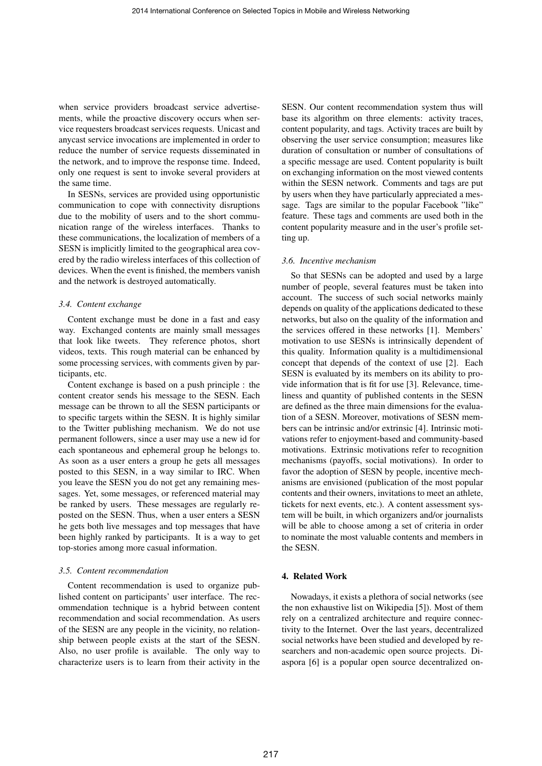when service providers broadcast service advertisements, while the proactive discovery occurs when service requesters broadcast services requests. Unicast and anycast service invocations are implemented in order to reduce the number of service requests disseminated in the network, and to improve the response time. Indeed, only one request is sent to invoke several providers at the same time.

In SESNs, services are provided using opportunistic communication to cope with connectivity disruptions due to the mobility of users and to the short communication range of the wireless interfaces. Thanks to these communications, the localization of members of a SESN is implicitly limited to the geographical area covered by the radio wireless interfaces of this collection of devices. When the event is finished, the members vanish and the network is destroyed automatically.

### *3.4. Content exchange*

Content exchange must be done in a fast and easy way. Exchanged contents are mainly small messages that look like tweets. They reference photos, short videos, texts. This rough material can be enhanced by some processing services, with comments given by participants, etc.

Content exchange is based on a push principle : the content creator sends his message to the SESN. Each message can be thrown to all the SESN participants or to specific targets within the SESN. It is highly similar to the Twitter publishing mechanism. We do not use permanent followers, since a user may use a new id for each spontaneous and ephemeral group he belongs to. As soon as a user enters a group he gets all messages posted to this SESN, in a way similar to IRC. When you leave the SESN you do not get any remaining messages. Yet, some messages, or referenced material may be ranked by users. These messages are regularly reposted on the SESN. Thus, when a user enters a SESN he gets both live messages and top messages that have been highly ranked by participants. It is a way to get top-stories among more casual information.

#### *3.5. Content recommendation*

Content recommendation is used to organize published content on participants' user interface. The recommendation technique is a hybrid between content recommendation and social recommendation. As users of the SESN are any people in the vicinity, no relationship between people exists at the start of the SESN. Also, no user profile is available. The only way to characterize users is to learn from their activity in the

SESN. Our content recommendation system thus will base its algorithm on three elements: activity traces, content popularity, and tags. Activity traces are built by observing the user service consumption; measures like duration of consultation or number of consultations of a specific message are used. Content popularity is built on exchanging information on the most viewed contents within the SESN network. Comments and tags are put by users when they have particularly appreciated a message. Tags are similar to the popular Facebook "like" feature. These tags and comments are used both in the content popularity measure and in the user's profile setting up.

# *3.6. Incentive mechanism*

So that SESNs can be adopted and used by a large number of people, several features must be taken into account. The success of such social networks mainly depends on quality of the applications dedicated to these networks, but also on the quality of the information and the services offered in these networks [1]. Members' motivation to use SESNs is intrinsically dependent of this quality. Information quality is a multidimensional concept that depends of the context of use [2]. Each SESN is evaluated by its members on its ability to provide information that is fit for use [3]. Relevance, timeliness and quantity of published contents in the SESN are defined as the three main dimensions for the evaluation of a SESN. Moreover, motivations of SESN members can be intrinsic and/or extrinsic [4]. Intrinsic motivations refer to enjoyment-based and community-based motivations. Extrinsic motivations refer to recognition mechanisms (payoffs, social motivations). In order to favor the adoption of SESN by people, incentive mechanisms are envisioned (publication of the most popular contents and their owners, invitations to meet an athlete, tickets for next events, etc.). A content assessment system will be built, in which organizers and/or journalists will be able to choose among a set of criteria in order to nominate the most valuable contents and members in the SESN.

# 4. Related Work

Nowadays, it exists a plethora of social networks (see the non exhaustive list on Wikipedia [5]). Most of them rely on a centralized architecture and require connectivity to the Internet. Over the last years, decentralized social networks have been studied and developed by researchers and non-academic open source projects. Diaspora [6] is a popular open source decentralized on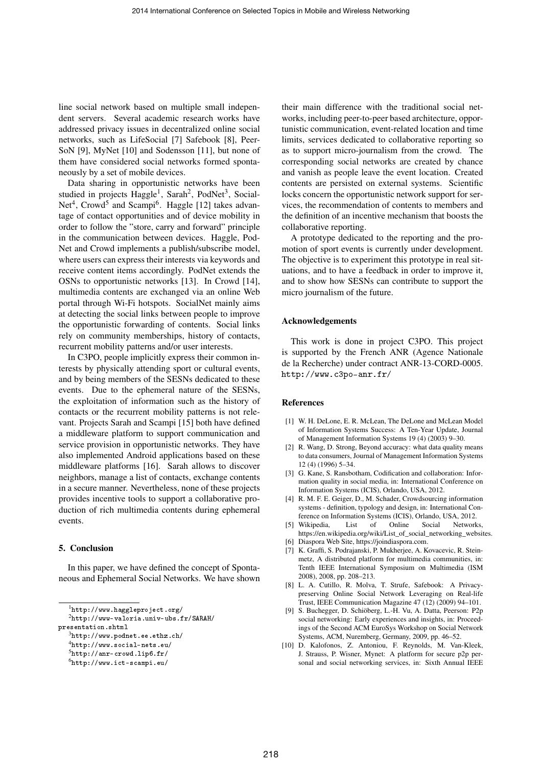line social network based on multiple small independent servers. Several academic research works have addressed privacy issues in decentralized online social networks, such as LifeSocial [7] Safebook [8], Peer-SoN [9], MyNet [10] and Sodensson [11], but none of them have considered social networks formed spontaneously by a set of mobile devices.

Data sharing in opportunistic networks have been studied in projects Haggle<sup>1</sup>, Sarah<sup>2</sup>, PodNet<sup>3</sup>, Social-Net<sup>4</sup>, Crowd<sup>5</sup> and Scampi<sup>6</sup>. Haggle [12] takes advantage of contact opportunities and of device mobility in order to follow the "store, carry and forward" principle in the communication between devices. Haggle, Pod-Net and Crowd implements a publish/subscribe model, where users can express their interests via keywords and receive content items accordingly. PodNet extends the OSNs to opportunistic networks [13]. In Crowd [14], multimedia contents are exchanged via an online Web portal through Wi-Fi hotspots. SocialNet mainly aims at detecting the social links between people to improve the opportunistic forwarding of contents. Social links rely on community memberships, history of contacts, recurrent mobility patterns and/or user interests.

In C3PO, people implicitly express their common interests by physically attending sport or cultural events, and by being members of the SESNs dedicated to these events. Due to the ephemeral nature of the SESNs, the exploitation of information such as the history of contacts or the recurrent mobility patterns is not relevant. Projects Sarah and Scampi [15] both have defined a middleware platform to support communication and service provision in opportunistic networks. They have also implemented Android applications based on these middleware platforms [16]. Sarah allows to discover neighbors, manage a list of contacts, exchange contents in a secure manner. Nevertheless, none of these projects provides incentive tools to support a collaborative production of rich multimedia contents during ephemeral events.

#### 5. Conclusion

In this paper, we have defined the concept of Spontaneous and Ephemeral Social Networks. We have shown

presentation.shtml

 $3$ http://www.podnet.ee.ethz.ch/

<sup>4</sup>http://www.social-nets.eu/

their main difference with the traditional social networks, including peer-to-peer based architecture, opportunistic communication, event-related location and time limits, services dedicated to collaborative reporting so as to support micro-journalism from the crowd. The corresponding social networks are created by chance and vanish as people leave the event location. Created contents are persisted on external systems. Scientific locks concern the opportunistic network support for services, the recommendation of contents to members and the definition of an incentive mechanism that boosts the collaborative reporting.

A prototype dedicated to the reporting and the promotion of sport events is currently under development. The objective is to experiment this prototype in real situations, and to have a feedback in order to improve it, and to show how SESNs can contribute to support the micro journalism of the future.

#### Acknowledgements

This work is done in project C3PO. This project is supported by the French ANR (Agence Nationale de la Recherche) under contract ANR-13-CORD-0005. http://www.c3po-anr.fr/

### References

- [1] W. H. DeLone, E. R. McLean, The DeLone and McLean Model of Information Systems Success: A Ten-Year Update, Journal of Management Information Systems 19 (4) (2003) 9–30.
- [2] R. Wang, D. Strong, Beyond accuracy: what data quality means to data consumers, Journal of Management Information Systems 12 (4) (1996) 5–34.
- [3] G. Kane, S. Ransbotham, Codification and collaboration: Information quality in social media, in: International Conference on Information Systems (ICIS), Orlando, USA, 2012.
- [4] R. M. F. E. Geiger, D., M. Schader, Crowdsourcing information systems - definition, typology and design, in: International Conference on Information Systems (ICIS), Orlando, USA, 2012.
- [5] Wikipedia, List of Online Social Networks, https://en.wikipedia.org/wiki/List\_of\_social\_networking\_websites.
- [6] Diaspora Web Site, https://joindiaspora.com.
- [7] K. Graffi, S. Podrajanski, P. Mukherjee, A. Kovacevic, R. Steinmetz, A distributed platform for multimedia communities, in: Tenth IEEE International Symposium on Multimedia (ISM 2008), 2008, pp. 208–213.
- [8] L. A. Cutillo, R. Molva, T. Strufe, Safebook: A Privacypreserving Online Social Network Leveraging on Real-life Trust, IEEE Communication Magazine 47 (12) (2009) 94–101.
- [9] S. Buchegger, D. Schiöberg, L.-H. Vu, A. Datta, Peerson: P2p social networking: Early experiences and insights, in: Proceedings of the Second ACM EuroSys Workshop on Social Network Systems, ACM, Nuremberg, Germany, 2009, pp. 46–52.
- [10] D. Kalofonos, Z. Antoniou, F. Reynolds, M. Van-Kleek, J. Strauss, P. Wisner, Mynet: A platform for secure p2p personal and social networking services, in: Sixth Annual IEEE

<sup>1</sup>http://www.haggleproject.org/

 $^{2}$ http://www-valoria.univ-ubs.fr/SARAH/

 $5$ http://anr-crowd.lip6.fr/

<sup>6</sup>http://www.ict-scampi.eu/